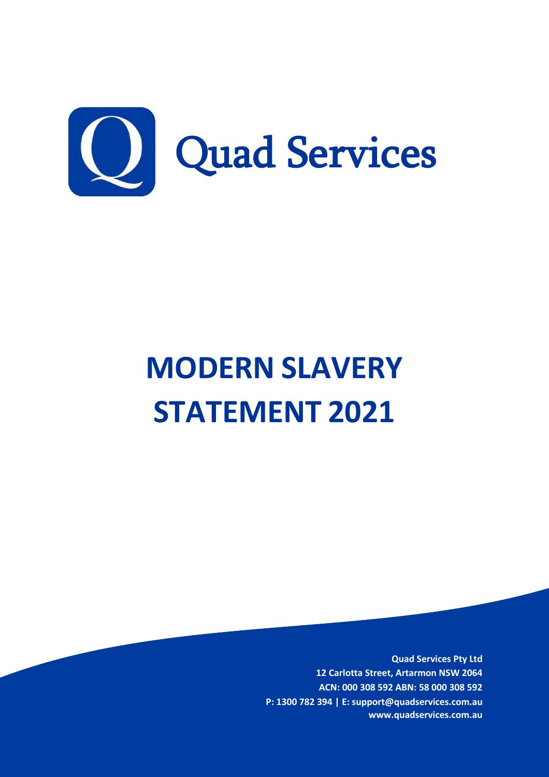

# **MODERN SLAVERY STATEMENT 2021**

**Quad Services Pty Ltd 12 Carlotta Street, Artarmon NSW 2064 ACN: 000 308 592 ABN: 58 000 308 592 P: 1300 782 394 | E: support@quadservices.com.au www.quadservices.com.au**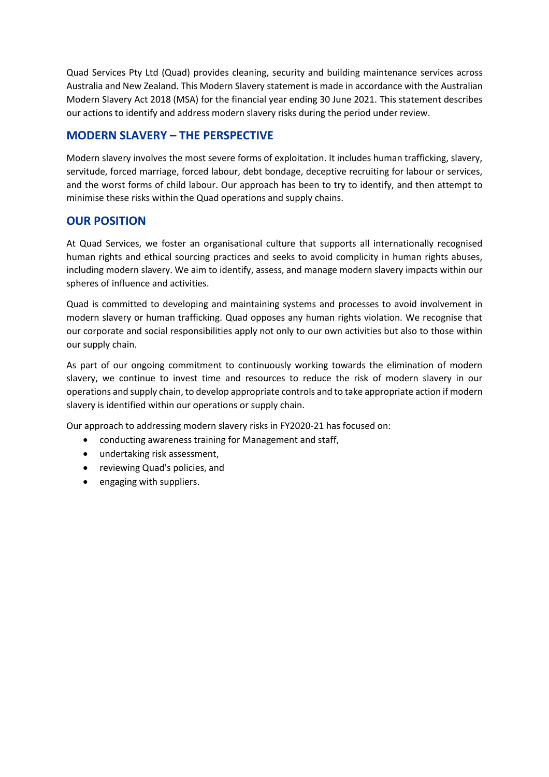Quad Services Pty Ltd (Quad) provides cleaning, security and building maintenance services across Australia and New Zealand. This Modern Slavery statement is made in accordance with the Australian Modern Slavery Act 2018 (MSA) for the financial year ending 30 June 2021. This statement describes our actions to identify and address modern slavery risks during the period under review.

# **MODERN SLAVERY – THE PERSPECTIVE**

Modern slavery involves the most severe forms of exploitation. It includes human trafficking, slavery, servitude, forced marriage, forced labour, debt bondage, deceptive recruiting for labour or services, and the worst forms of child labour. Our approach has been to try to identify, and then attempt to minimise these risks within the Quad operations and supply chains.

# **OUR POSITION**

At Quad Services, we foster an organisational culture that supports all internationally recognised human rights and ethical sourcing practices and seeks to avoid complicity in human rights abuses, including modern slavery. We aim to identify, assess, and manage modern slavery impacts within our spheres of influence and activities.

Quad is committed to developing and maintaining systems and processes to avoid involvement in modern slavery or human trafficking. Quad opposes any human rights violation. We recognise that our corporate and social responsibilities apply not only to our own activities but also to those within our supply chain.

As part of our ongoing commitment to continuously working towards the elimination of modern slavery, we continue to invest time and resources to reduce the risk of modern slavery in our operations and supply chain, to develop appropriate controls and to take appropriate action if modern slavery is identified within our operations or supply chain.

Our approach to addressing modern slavery risks in FY2020-21 has focused on:

- conducting awareness training for Management and staff,
- undertaking risk assessment,
- reviewing Quad's policies, and
- engaging with suppliers.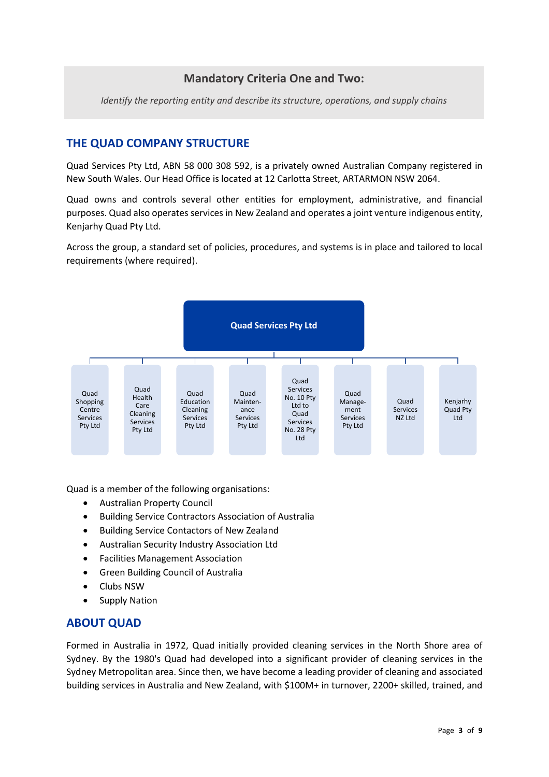# **Mandatory Criteria One and Two:**

*Identify the reporting entity and describe its structure, operations, and supply chains*

# **THE QUAD COMPANY STRUCTURE**

Quad Services Pty Ltd, ABN 58 000 308 592, is a privately owned Australian Company registered in New South Wales. Our Head Office is located at 12 Carlotta Street, ARTARMON NSW 2064.

Quad owns and controls several other entities for employment, administrative, and financial purposes. Quad also operates services in New Zealand and operates a joint venture indigenous entity, Kenjarhy Quad Pty Ltd.

Across the group, a standard set of policies, procedures, and systems is in place and tailored to local requirements (where required).



Quad is a member of the following organisations:

- Australian Property Council
- Building Service Contractors Association of Australia
- Building Service Contactors of New Zealand
- Australian Security Industry Association Ltd
- Facilities Management Association
- Green Building Council of Australia
- Clubs NSW
- Supply Nation

### **ABOUT QUAD**

Formed in Australia in 1972, Quad initially provided cleaning services in the North Shore area of Sydney. By the 1980's Quad had developed into a significant provider of cleaning services in the Sydney Metropolitan area. Since then, we have become a leading provider of cleaning and associated building services in Australia and New Zealand, with \$100M+ in turnover, 2200+ skilled, trained, and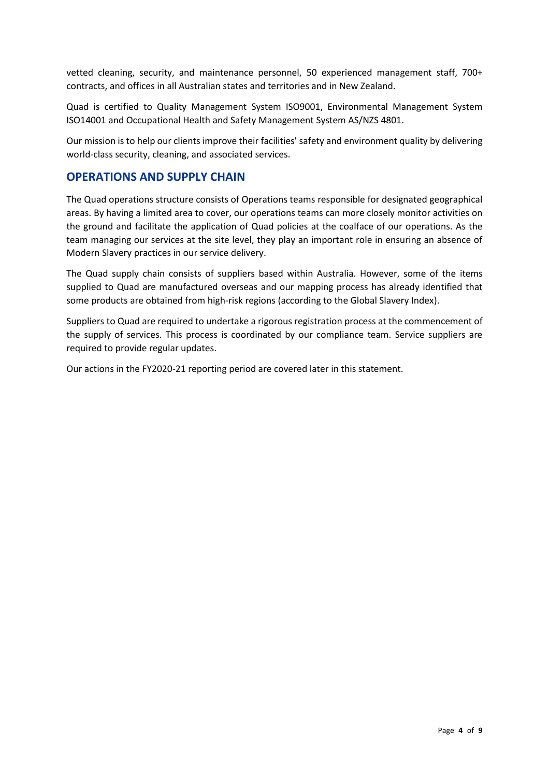vetted cleaning, security, and maintenance personnel, 50 experienced management staff, 700+ contracts, and offices in all Australian states and territories and in New Zealand.

Quad is certified to Quality Management System ISO9001, Environmental Management System ISO14001 and Occupational Health and Safety Management System AS/NZS 4801.

Our mission is to help our clients improve their facilities' safety and environment quality by delivering world-class security, cleaning, and associated services.

## **OPERATIONS AND SUPPLY CHAIN**

The Quad operations structure consists of Operations teams responsible for designated geographical areas. By having a limited area to cover, our operations teams can more closely monitor activities on the ground and facilitate the application of Quad policies at the coalface of our operations. As the team managing our services at the site level, they play an important role in ensuring an absence of Modern Slavery practices in our service delivery.

The Quad supply chain consists of suppliers based within Australia. However, some of the items supplied to Quad are manufactured overseas and our mapping process has already identified that some products are obtained from high-risk regions (according to the Global Slavery Index).

Suppliers to Quad are required to undertake a rigorous registration process at the commencement of the supply of services. This process is coordinated by our compliance team. Service suppliers are required to provide regular updates.

Our actions in the FY2020-21 reporting period are covered later in this statement.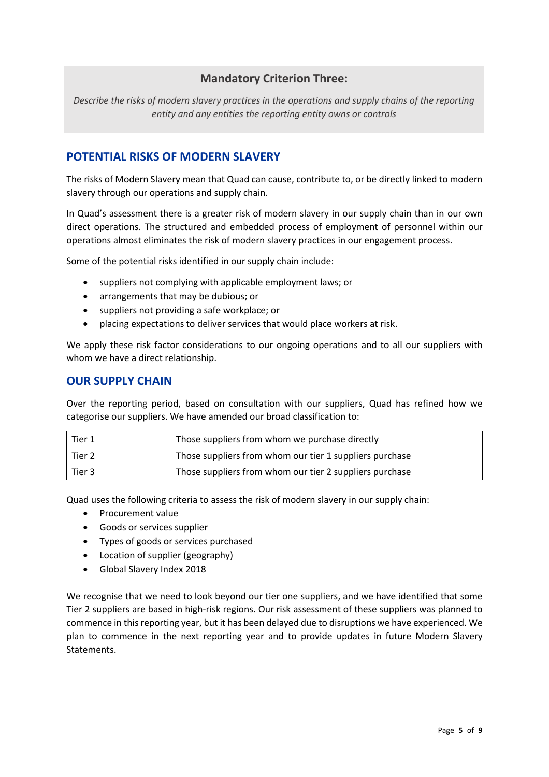# **Mandatory Criterion Three:**

*Describe the risks of modern slavery practices in the operations and supply chains of the reporting entity and any entities the reporting entity owns or controls*

# **POTENTIAL RISKS OF MODERN SLAVERY**

The risks of Modern Slavery mean that Quad can cause, contribute to, or be directly linked to modern slavery through our operations and supply chain.

In Quad's assessment there is a greater risk of modern slavery in our supply chain than in our own direct operations. The structured and embedded process of employment of personnel within our operations almost eliminates the risk of modern slavery practices in our engagement process.

Some of the potential risks identified in our supply chain include:

- suppliers not complying with applicable employment laws; or
- arrangements that may be dubious; or
- suppliers not providing a safe workplace; or
- placing expectations to deliver services that would place workers at risk.

We apply these risk factor considerations to our ongoing operations and to all our suppliers with whom we have a direct relationship.

### **OUR SUPPLY CHAIN**

Over the reporting period, based on consultation with our suppliers, Quad has refined how we categorise our suppliers. We have amended our broad classification to:

| Tier 1 | Those suppliers from whom we purchase directly          |
|--------|---------------------------------------------------------|
| Tier 2 | Those suppliers from whom our tier 1 suppliers purchase |
| Tier 3 | Those suppliers from whom our tier 2 suppliers purchase |

Quad uses the following criteria to assess the risk of modern slavery in our supply chain:

- Procurement value
- Goods or services supplier
- Types of goods or services purchased
- Location of supplier (geography)
- Global Slavery Index 2018

We recognise that we need to look beyond our tier one suppliers, and we have identified that some Tier 2 suppliers are based in high-risk regions. Our risk assessment of these suppliers was planned to commence in this reporting year, but it has been delayed due to disruptions we have experienced. We plan to commence in the next reporting year and to provide updates in future Modern Slavery Statements.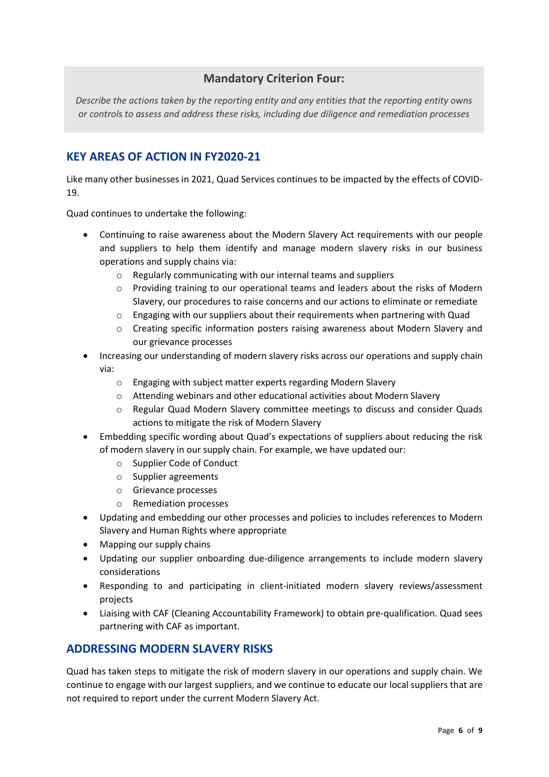# **Mandatory Criterion Four:**

*Describe the actions taken by the reporting entity and any entities that the reporting entity owns or controls to assess and address these risks, including due diligence and remediation processes*

# **KEY AREAS OF ACTION IN FY2020-21**

Like many other businesses in 2021, Quad Services continues to be impacted by the effects of COVID-19.

Quad continues to undertake the following:

- Continuing to raise awareness about the Modern Slavery Act requirements with our people and suppliers to help them identify and manage modern slavery risks in our business operations and supply chains via:
	- o Regularly communicating with our internal teams and suppliers
	- $\circ$  Providing training to our operational teams and leaders about the risks of Modern Slavery, our procedures to raise concerns and our actions to eliminate or remediate
	- o Engaging with our suppliers about their requirements when partnering with Quad
	- o Creating specific information posters raising awareness about Modern Slavery and our grievance processes
- Increasing our understanding of modern slavery risks across our operations and supply chain via:
	- o Engaging with subject matter experts regarding Modern Slavery
	- o Attending webinars and other educational activities about Modern Slavery
	- o Regular Quad Modern Slavery committee meetings to discuss and consider Quads actions to mitigate the risk of Modern Slavery
- Embedding specific wording about Quad's expectations of suppliers about reducing the risk of modern slavery in our supply chain. For example, we have updated our:
	- o Supplier Code of Conduct
	- o Supplier agreements
	- o Grievance processes
	- o Remediation processes
- Updating and embedding our other processes and policies to includes references to Modern Slavery and Human Rights where appropriate
- Mapping our supply chains
- Updating our supplier onboarding due-diligence arrangements to include modern slavery considerations
- Responding to and participating in client-initiated modern slavery reviews/assessment projects
- Liaising with CAF (Cleaning Accountability Framework) to obtain pre-qualification. Quad sees partnering with CAF as important.

# **ADDRESSING MODERN SLAVERY RISKS**

Quad has taken steps to mitigate the risk of modern slavery in our operations and supply chain. We continue to engage with our largest suppliers, and we continue to educate our local suppliers that are not required to report under the current Modern Slavery Act.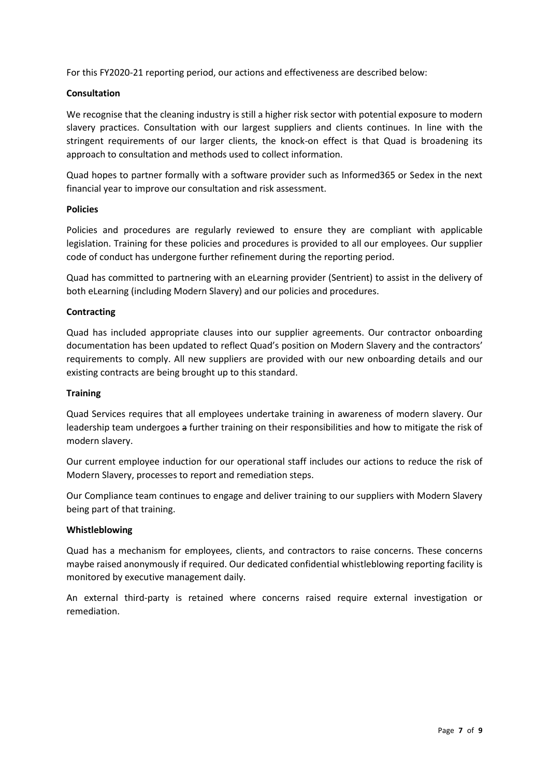For this FY2020-21 reporting period, our actions and effectiveness are described below:

#### **Consultation**

We recognise that the cleaning industry is still a higher risk sector with potential exposure to modern slavery practices. Consultation with our largest suppliers and clients continues. In line with the stringent requirements of our larger clients, the knock-on effect is that Quad is broadening its approach to consultation and methods used to collect information.

Quad hopes to partner formally with a software provider such as Informed365 or Sedex in the next financial year to improve our consultation and risk assessment.

#### **Policies**

Policies and procedures are regularly reviewed to ensure they are compliant with applicable legislation. Training for these policies and procedures is provided to all our employees. Our supplier code of conduct has undergone further refinement during the reporting period.

Quad has committed to partnering with an eLearning provider (Sentrient) to assist in the delivery of both eLearning (including Modern Slavery) and our policies and procedures.

#### **Contracting**

Quad has included appropriate clauses into our supplier agreements. Our contractor onboarding documentation has been updated to reflect Quad's position on Modern Slavery and the contractors' requirements to comply. All new suppliers are provided with our new onboarding details and our existing contracts are being brought up to this standard.

#### **Training**

Quad Services requires that all employees undertake training in awareness of modern slavery. Our leadership team undergoes a further training on their responsibilities and how to mitigate the risk of modern slavery.

Our current employee induction for our operational staff includes our actions to reduce the risk of Modern Slavery, processes to report and remediation steps.

Our Compliance team continues to engage and deliver training to our suppliers with Modern Slavery being part of that training.

#### **Whistleblowing**

Quad has a mechanism for employees, clients, and contractors to raise concerns. These concerns maybe raised anonymously if required. Our dedicated confidential whistleblowing reporting facility is monitored by executive management daily.

An external third-party is retained where concerns raised require external investigation or remediation.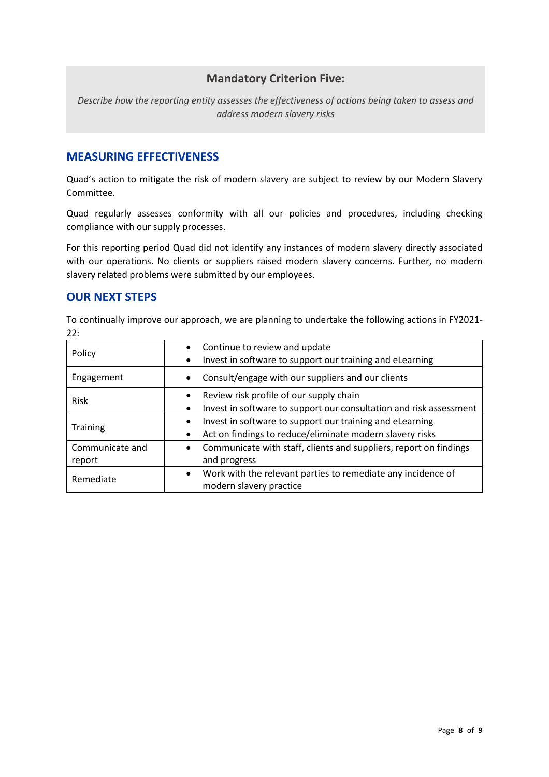# **Mandatory Criterion Five:**

*Describe how the reporting entity assesses the effectiveness of actions being taken to assess and address modern slavery risks*

## **MEASURING EFFECTIVENESS**

Quad's action to mitigate the risk of modern slavery are subject to review by our Modern Slavery Committee.

Quad regularly assesses conformity with all our policies and procedures, including checking compliance with our supply processes.

For this reporting period Quad did not identify any instances of modern slavery directly associated with our operations. No clients or suppliers raised modern slavery concerns. Further, no modern slavery related problems were submitted by our employees.

## **OUR NEXT STEPS**

To continually improve our approach, we are planning to undertake the following actions in FY2021- 22:

| Policy                    | Continue to review and update<br>Invest in software to support our training and eLearning<br>٠                                          |
|---------------------------|-----------------------------------------------------------------------------------------------------------------------------------------|
| Engagement                | Consult/engage with our suppliers and our clients<br>$\bullet$                                                                          |
| Risk                      | Review risk profile of our supply chain<br>$\bullet$<br>Invest in software to support our consultation and risk assessment<br>$\bullet$ |
| <b>Training</b>           | Invest in software to support our training and eLearning<br>$\bullet$<br>Act on findings to reduce/eliminate modern slavery risks       |
| Communicate and<br>report | Communicate with staff, clients and suppliers, report on findings<br>$\bullet$<br>and progress                                          |
| Remediate                 | Work with the relevant parties to remediate any incidence of<br>$\bullet$<br>modern slavery practice                                    |